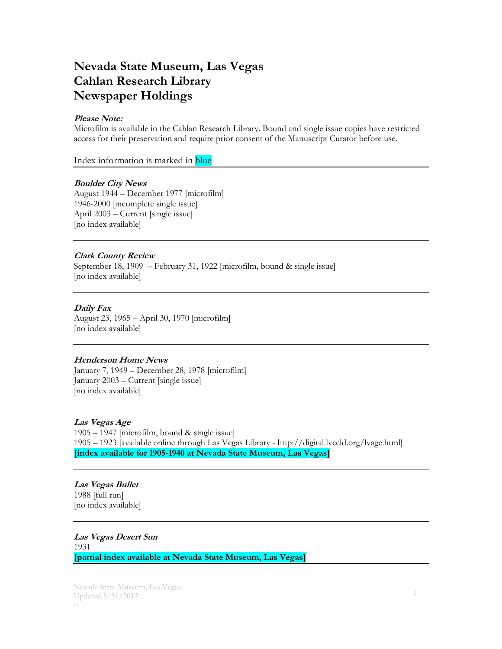# **Nevada State Museum, Las Vegas Cahlan Research Library Newspaper Holdings**

### **Please Note:**

Microfilm is available in the Cahlan Research Library. Bound and single issue copies have restricted access for their preservation and require prior consent of the Manuscript Curator before use.

Index information is marked in blue

# **Boulder City News**

August 1944 – December 1977 [microfilm] 1946-2000 [incomplete single issue] April 2003 – Current [single issue] [no index available]

# **Clark County Review**

September 18, 1909 – February 31, 1922 [microfilm, bound & single issue] [no index available]

# **Daily Fax**

August 23, 1965 – April 30, 1970 [microfilm] [no index available]

### **Henderson Home News**

January 7, 1949 – December 28, 1978 [microfilm] January 2003 – Current [single issue] [no index available]

### **Las Vegas Age**

1905 – 1947 [microfilm, bound & single issue] 1905 – 1923 [available online through Las Vegas Library - http://digital.lvccld.org/lvage.html] **[index available for 1905-1940 at Nevada State Museum, Las Vegas]**

### **Las Vegas Bullet** 1988 [full run] [no index available]

# **Las Vegas Desert Sun** 1931 **[partial index available at Nevada State Museum, Las Vegas]**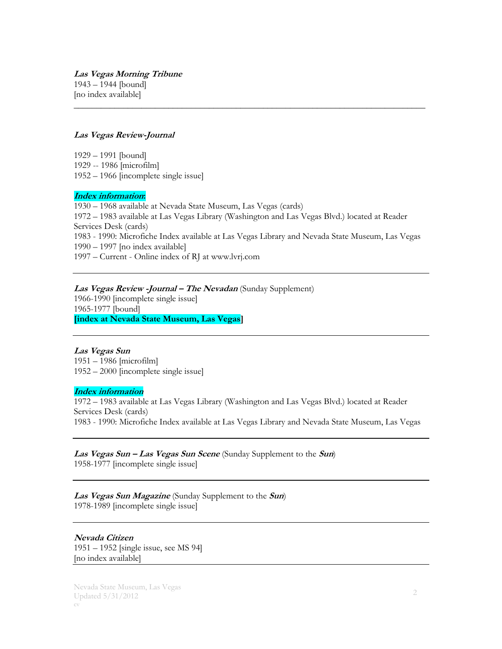**Las Vegas Morning Tribune** 1943 – 1944 [bound] [no index available]

### **Las Vegas Review-Journal**

1929 – 1991 [bound] 1929 -- 1986 [microfilm] 1952 – 1966 [incomplete single issue]

#### **Index information:**

– 1968 available at Nevada State Museum, Las Vegas (cards) – 1983 available at Las Vegas Library (Washington and Las Vegas Blvd.) located at Reader Services Desk (cards) 1983 - 1990: Microfiche Index available at Las Vegas Library and Nevada State Museum, Las Vegas – 1997 [no index available] – Current - Online index of RJ at www.lvrj.com

\_\_\_\_\_\_\_\_\_\_\_\_\_\_\_\_\_\_\_\_\_\_\_\_\_\_\_\_\_\_\_\_\_\_\_\_\_\_\_\_\_\_\_\_\_\_\_\_\_\_\_\_\_\_\_\_\_\_\_\_\_\_\_\_\_\_\_\_\_\_\_\_\_\_\_\_\_\_

# **Las Vegas Review -Journal – The Nevadan** (Sunday Supplement)

1966-1990 [incomplete single issue] 1965-1977 [bound] **[index at Nevada State Museum, Las Vegas]**

# **Las Vegas Sun**

1951 – 1986 [microfilm] 1952 – 2000 [incomplete single issue]

#### **Index information**

1972 – 1983 available at Las Vegas Library (Washington and Las Vegas Blvd.) located at Reader Services Desk (cards) 1983 - 1990: Microfiche Index available at Las Vegas Library and Nevada State Museum, Las Vegas

# **Las Vegas Sun – Las Vegas Sun Scene** (Sunday Supplement to the **Sun**)

1958-1977 [incomplete single issue]

**Las Vegas Sun Magazine** (Sunday Supplement to the **Sun**) 1978-1989 [incomplete single issue]

**Nevada Citizen** 1951 – 1952 [single issue, see MS 94] [no index available]

Nevada State Museum, Las Vegas Updated 5/31/2012 cv